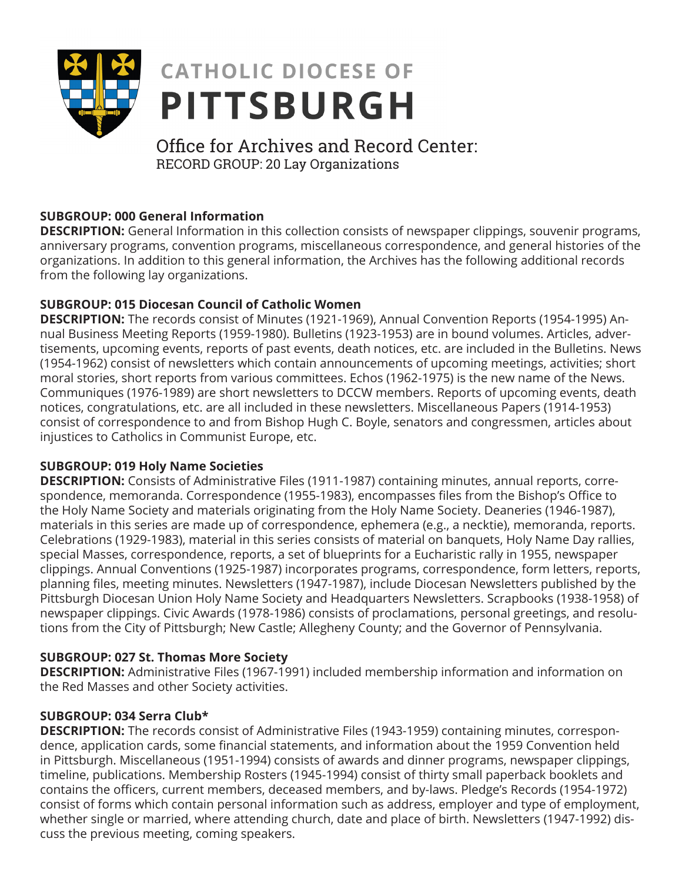

# **CATHOLIC DIOCESE OF PITTSBURGH**

## Office for Archives and Record Center: RECORD GROUP: 20 Lay Organizations

#### **SUBGROUP: 000 General Information**

**DESCRIPTION:** General Information in this collection consists of newspaper clippings, souvenir programs, anniversary programs, convention programs, miscellaneous correspondence, and general histories of the organizations. In addition to this general information, the Archives has the following additional records from the following lay organizations.

#### **SUBGROUP: 015 Diocesan Council of Catholic Women**

**DESCRIPTION:** The records consist of Minutes (1921-1969), Annual Convention Reports (1954-1995) Annual Business Meeting Reports (1959-1980). Bulletins (1923-1953) are in bound volumes. Articles, advertisements, upcoming events, reports of past events, death notices, etc. are included in the Bulletins. News (1954-1962) consist of newsletters which contain announcements of upcoming meetings, activities; short moral stories, short reports from various committees. Echos (1962-1975) is the new name of the News. Communiques (1976-1989) are short newsletters to DCCW members. Reports of upcoming events, death notices, congratulations, etc. are all included in these newsletters. Miscellaneous Papers (1914-1953) consist of correspondence to and from Bishop Hugh C. Boyle, senators and congressmen, articles about injustices to Catholics in Communist Europe, etc.

#### **SUBGROUP: 019 Holy Name Societies**

**DESCRIPTION:** Consists of Administrative Files (1911-1987) containing minutes, annual reports, correspondence, memoranda. Correspondence (1955-1983), encompasses files from the Bishop's Office to the Holy Name Society and materials originating from the Holy Name Society. Deaneries (1946-1987), materials in this series are made up of correspondence, ephemera (e.g., a necktie), memoranda, reports. Celebrations (1929-1983), material in this series consists of material on banquets, Holy Name Day rallies, special Masses, correspondence, reports, a set of blueprints for a Eucharistic rally in 1955, newspaper clippings. Annual Conventions (1925-1987) incorporates programs, correspondence, form letters, reports, planning files, meeting minutes. Newsletters (1947-1987), include Diocesan Newsletters published by the Pittsburgh Diocesan Union Holy Name Society and Headquarters Newsletters. Scrapbooks (1938-1958) of newspaper clippings. Civic Awards (1978-1986) consists of proclamations, personal greetings, and resolutions from the City of Pittsburgh; New Castle; Allegheny County; and the Governor of Pennsylvania.

### **SUBGROUP: 027 St. Thomas More Society**

**DESCRIPTION:** Administrative Files (1967-1991) included membership information and information on the Red Masses and other Society activities.

#### **SUBGROUP: 034 Serra Club\***

**DESCRIPTION:** The records consist of Administrative Files (1943-1959) containing minutes, correspondence, application cards, some financial statements, and information about the 1959 Convention held in Pittsburgh. Miscellaneous (1951-1994) consists of awards and dinner programs, newspaper clippings, timeline, publications. Membership Rosters (1945-1994) consist of thirty small paperback booklets and contains the officers, current members, deceased members, and by-laws. Pledge's Records (1954-1972) consist of forms which contain personal information such as address, employer and type of employment, whether single or married, where attending church, date and place of birth. Newsletters (1947-1992) discuss the previous meeting, coming speakers.